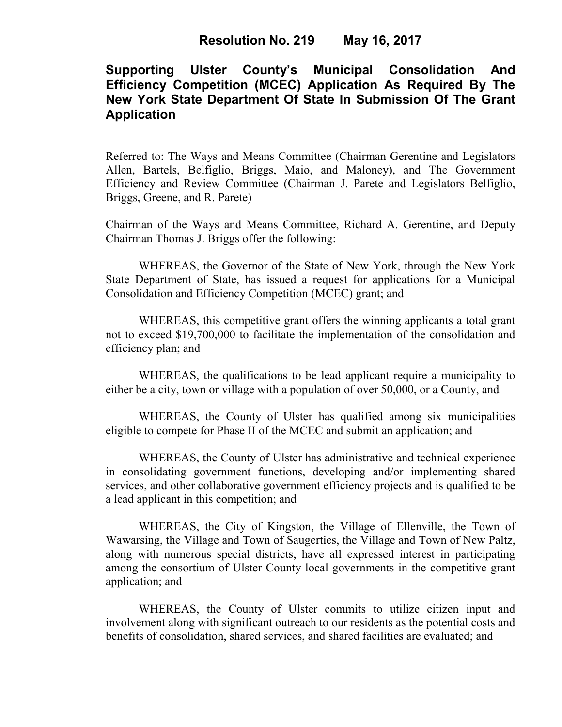# **Supporting Ulster County's Municipal Consolidation And Efficiency Competition (MCEC) Application As Required By The New York State Department Of State In Submission Of The Grant Application**

Referred to: The Ways and Means Committee (Chairman Gerentine and Legislators Allen, Bartels, Belfiglio, Briggs, Maio, and Maloney), and The Government Efficiency and Review Committee (Chairman J. Parete and Legislators Belfiglio, Briggs, Greene, and R. Parete)

Chairman of the Ways and Means Committee, Richard A. Gerentine, and Deputy Chairman Thomas J. Briggs offer the following:

WHEREAS, the Governor of the State of New York, through the New York State Department of State, has issued a request for applications for a Municipal Consolidation and Efficiency Competition (MCEC) grant; and

WHEREAS, this competitive grant offers the winning applicants a total grant not to exceed \$19,700,000 to facilitate the implementation of the consolidation and efficiency plan; and

WHEREAS, the qualifications to be lead applicant require a municipality to either be a city, town or village with a population of over 50,000, or a County, and

WHEREAS, the County of Ulster has qualified among six municipalities eligible to compete for Phase II of the MCEC and submit an application; and

WHEREAS, the County of Ulster has administrative and technical experience in consolidating government functions, developing and/or implementing shared services, and other collaborative government efficiency projects and is qualified to be a lead applicant in this competition; and

WHEREAS, the City of Kingston, the Village of Ellenville, the Town of Wawarsing, the Village and Town of Saugerties, the Village and Town of New Paltz, along with numerous special districts, have all expressed interest in participating among the consortium of Ulster County local governments in the competitive grant application; and

WHEREAS, the County of Ulster commits to utilize citizen input and involvement along with significant outreach to our residents as the potential costs and benefits of consolidation, shared services, and shared facilities are evaluated; and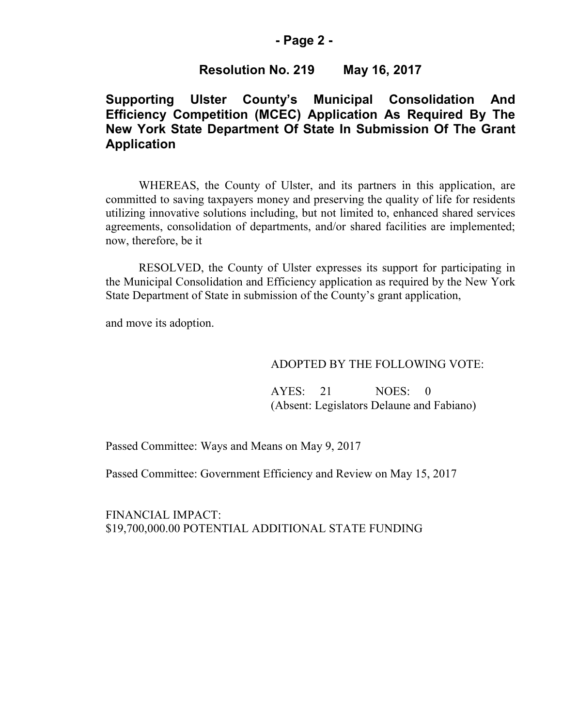#### **- Page 2 -**

## **Resolution No. 219 May 16, 2017**

# **Supporting Ulster County's Municipal Consolidation And Efficiency Competition (MCEC) Application As Required By The New York State Department Of State In Submission Of The Grant Application**

WHEREAS, the County of Ulster, and its partners in this application, are committed to saving taxpayers money and preserving the quality of life for residents utilizing innovative solutions including, but not limited to, enhanced shared services agreements, consolidation of departments, and/or shared facilities are implemented; now, therefore, be it

RESOLVED, the County of Ulster expresses its support for participating in the Municipal Consolidation and Efficiency application as required by the New York State Department of State in submission of the County's grant application,

and move its adoption.

## ADOPTED BY THE FOLLOWING VOTE:

AYES: 21 NOES: 0 (Absent: Legislators Delaune and Fabiano)

Passed Committee: Ways and Means on May 9, 2017

Passed Committee: Government Efficiency and Review on May 15, 2017

FINANCIAL IMPACT: \$19,700,000.00 POTENTIAL ADDITIONAL STATE FUNDING